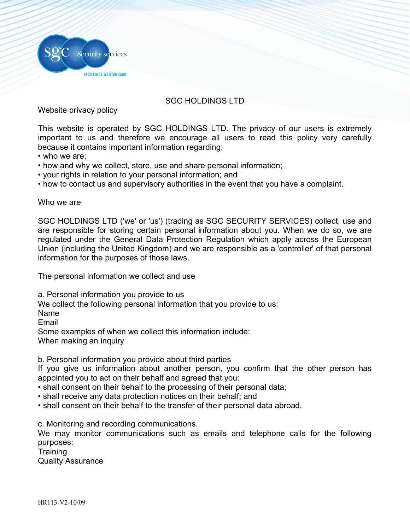

## SGC HOLDINGS LTD

Website privacy policy

This website is operated by SGC HOLDINGS LTD. The privacy of our users is extremely important to us and therefore we encourage all users to read this policy very carefully because it contains important information regarding:

- who we are;
- how and why we collect, store, use and share personal information;
- your rights in relation to your personal information; and
- how to contact us and supervisory authorities in the event that you have a complaint.

Who we are

SGC HOLDINGS LTD ('we' or 'us') (trading as SGC SECURITY SERVICES) collect, use and are responsible for storing certain personal information about you. When we do so, we are regulated under the General Data Protection Regulation which apply across the European Union (including the United Kingdom) and we are responsible as a 'controller' of that personal information for the purposes of those laws.

The personal information we collect and use

a. Personal information you provide to us

We collect the following personal information that you provide to us:

Name

Email

Some examples of when we collect this information include:

When making an inquiry

b. Personal information you provide about third parties

If you give us information about another person, you confirm that the other person has appointed you to act on their behalf and agreed that you:

- shall consent on their behalf to the processing of their personal data;
- shall receive any data protection notices on their behalf; and
- shall consent on their behalf to the transfer of their personal data abroad.

c. Monitoring and recording communications.

We may monitor communications such as emails and telephone calls for the following purposes:

**Training** 

Quality Assurance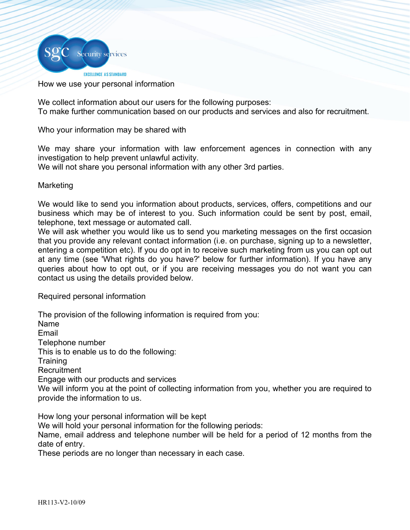

## How we use your personal information

We collect information about our users for the following purposes: To make further communication based on our products and services and also for recruitment.

Who your information may be shared with

We may share your information with law enforcement agences in connection with any investigation to help prevent unlawful activity.

We will not share you personal information with any other 3rd parties.

## Marketing

We would like to send you information about products, services, offers, competitions and our business which may be of interest to you. Such information could be sent by post, email, telephone, text message or automated call.

We will ask whether you would like us to send you marketing messages on the first occasion that you provide any relevant contact information (i.e. on purchase, signing up to a newsletter, entering a competition etc). If you do opt in to receive such marketing from us you can opt out at any time (see 'What rights do you have?' below for further information). If you have any queries about how to opt out, or if you are receiving messages you do not want you can contact us using the details provided below.

Required personal information

The provision of the following information is required from you: Name Email Telephone number This is to enable us to do the following: **Training Recruitment** Engage with our products and services We will inform you at the point of collecting information from you, whether you are required to provide the information to us.

How long your personal information will be kept

We will hold your personal information for the following periods:

Name, email address and telephone number will be held for a period of 12 months from the date of entry.

These periods are no longer than necessary in each case.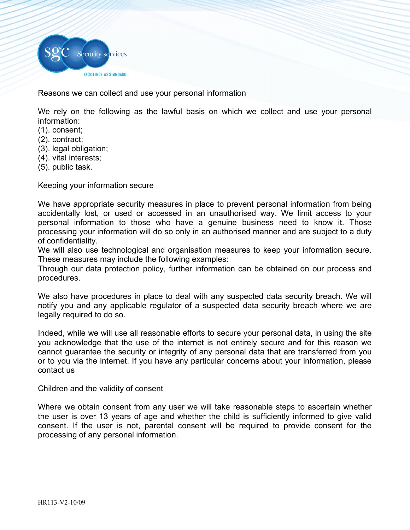

Reasons we can collect and use your personal information

We rely on the following as the lawful basis on which we collect and use your personal information:

- (1). consent;
- (2). contract;
- (3). legal obligation;
- (4). vital interests;
- (5). public task.

Keeping your information secure

We have appropriate security measures in place to prevent personal information from being accidentally lost, or used or accessed in an unauthorised way. We limit access to your personal information to those who have a genuine business need to know it. Those processing your information will do so only in an authorised manner and are subject to a duty of confidentiality.

We will also use technological and organisation measures to keep your information secure. These measures may include the following examples:

Through our data protection policy, further information can be obtained on our process and procedures.

We also have procedures in place to deal with any suspected data security breach. We will notify you and any applicable regulator of a suspected data security breach where we are legally required to do so.

Indeed, while we will use all reasonable efforts to secure your personal data, in using the site you acknowledge that the use of the internet is not entirely secure and for this reason we cannot guarantee the security or integrity of any personal data that are transferred from you or to you via the internet. If you have any particular concerns about your information, please contact us

Children and the validity of consent

Where we obtain consent from any user we will take reasonable steps to ascertain whether the user is over 13 years of age and whether the child is sufficiently informed to give valid consent. If the user is not, parental consent will be required to provide consent for the processing of any personal information.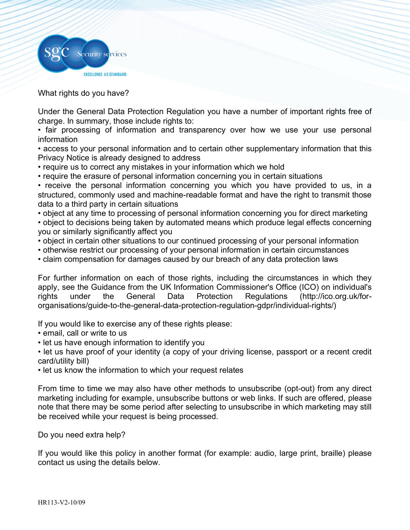

What rights do you have?

Under the General Data Protection Regulation you have a number of important rights free of charge. In summary, those include rights to:

• fair processing of information and transparency over how we use your use personal information

• access to your personal information and to certain other supplementary information that this Privacy Notice is already designed to address

• require us to correct any mistakes in your information which we hold

• require the erasure of personal information concerning you in certain situations

• receive the personal information concerning you which you have provided to us, in a structured, commonly used and machine-readable format and have the right to transmit those data to a third party in certain situations

• object at any time to processing of personal information concerning you for direct marketing • object to decisions being taken by automated means which produce legal effects concerning you or similarly significantly affect you

• object in certain other situations to our continued processing of your personal information

• otherwise restrict our processing of your personal information in certain circumstances

• claim compensation for damages caused by our breach of any data protection laws

For further information on each of those rights, including the circumstances in which they apply, see the Guidance from the UK Information Commissioner's Office (ICO) on individual's rights under the General Data Protection Regulations (http://ico.org.uk/fororganisations/guide-to-the-general-data-protection-regulation-gdpr/individual-rights/)

If you would like to exercise any of these rights please:

• email, call or write to us

• let us have enough information to identify you

• let us have proof of your identity (a copy of your driving license, passport or a recent credit card/utility bill)

• let us know the information to which your request relates

From time to time we may also have other methods to unsubscribe (opt-out) from any direct marketing including for example, unsubscribe buttons or web links. If such are offered, please note that there may be some period after selecting to unsubscribe in which marketing may still be received while your request is being processed.

Do you need extra help?

If you would like this policy in another format (for example: audio, large print, braille) please contact us using the details below.